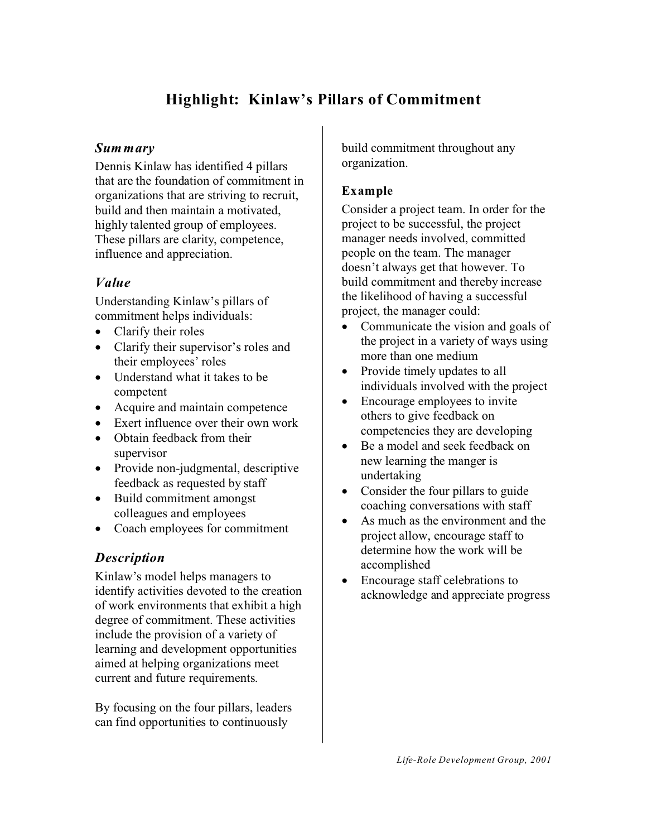# **Highlight: Kinlaw's Pillars of Commitment**

#### *Summary*

Dennis Kinlaw has identified 4 pillars that are the foundation of commitment in organizations that are striving to recruit, build and then maintain a motivated, highly talented group of employees. These pillars are clarity, competence, influence and appreciation.

#### *Value*

Understanding Kinlaw's pillars of commitment helps individuals:

Clarify their roles Clarify their supervisor's roles and their employees' roles Understand what it takes to be competent Acquire and maintain competence Exert influence over their own work Obtain feedback from their supervisor Provide non-judgmental, descriptive feedback as requested by staff Build commitment amongst colleagues and employees Coach employees for commitment

#### *Description*

Kinlaw's model helps managers to identify activities devoted to the creation of work environments that exhibit a high degree of commitment. These activities include the provision of a variety of learning and development opportunities aimed at helping organizations meet current and future requirements.

By focusing on the four pillars, leaders can find opportunities to continuously

build commitment throughout any organization.

### **Example**

Consider a project team. In order for the project to be successful, the project manager needs involved, committed people on the team. The manager doesn't always get that however. To build commitment and thereby increase the likelihood of having a successful project, the manager could:

Communicate the vision and goals of the project in a variety of ways using more than one medium Provide timely updates to all individuals involved with the project Encourage employees to invite others to give feedback on competencies they are developing Be a model and seek feedback on new learning the manger is undertaking Consider the four pillars to guide

coaching conversations with staff As much as the environment and the project allow, encourage staff to determine how the work will be accomplished

Encourage staff celebrations to acknowledge and appreciate progress